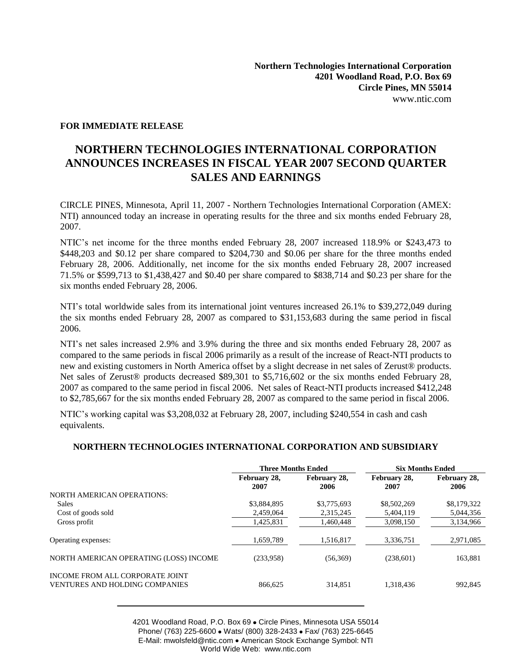## **FOR IMMEDIATE RELEASE**

## **NORTHERN TECHNOLOGIES INTERNATIONAL CORPORATION ANNOUNCES INCREASES IN FISCAL YEAR 2007 SECOND QUARTER SALES AND EARNINGS**

CIRCLE PINES, Minnesota, April 11, 2007 - Northern Technologies International Corporation (AMEX: NTI) announced today an increase in operating results for the three and six months ended February 28, 2007.

NTIC's net income for the three months ended February 28, 2007 increased 118.9% or \$243,473 to \$448,203 and \$0.12 per share compared to \$204,730 and \$0.06 per share for the three months ended February 28, 2006. Additionally, net income for the six months ended February 28, 2007 increased 71.5% or \$599,713 to \$1,438,427 and \$0.40 per share compared to \$838,714 and \$0.23 per share for the six months ended February 28, 2006.

NTI's total worldwide sales from its international joint ventures increased 26.1% to \$39,272,049 during the six months ended February 28, 2007 as compared to \$31,153,683 during the same period in fiscal 2006.

NTI's net sales increased 2.9% and 3.9% during the three and six months ended February 28, 2007 as compared to the same periods in fiscal 2006 primarily as a result of the increase of React-NTI products to new and existing customers in North America offset by a slight decrease in net sales of Zerust® products. Net sales of Zerust® products decreased \$89,301 to \$5,716,602 or the six months ended February 28, 2007 as compared to the same period in fiscal 2006. Net sales of React-NTI products increased \$412,248 to \$2,785,667 for the six months ended February 28, 2007 as compared to the same period in fiscal 2006.

NTIC's working capital was \$3,208,032 at February 28, 2007, including \$240,554 in cash and cash equivalents.

## **NORTHERN TECHNOLOGIES INTERNATIONAL CORPORATION AND SUBSIDIARY**

|                                                                          | <b>Three Months Ended</b> |                      | <b>Six Months Ended</b> |                      |
|--------------------------------------------------------------------------|---------------------------|----------------------|-------------------------|----------------------|
|                                                                          | February 28,<br>2007      | February 28,<br>2006 | February 28,<br>2007    | February 28,<br>2006 |
| <b>NORTH AMERICAN OPERATIONS:</b>                                        |                           |                      |                         |                      |
| <b>Sales</b>                                                             | \$3,884,895               | \$3,775,693          | \$8,502,269             | \$8,179,322          |
| Cost of goods sold                                                       | 2,459,064                 | 2,315,245            | 5,404,119               | 5,044,356            |
| Gross profit                                                             | 1,425,831                 | 1.460.448            | 3.098.150               | 3,134,966            |
| Operating expenses:                                                      | 1,659,789                 | 1,516,817            | 3,336,751               | 2,971,085            |
| NORTH AMERICAN OPERATING (LOSS) INCOME                                   | (233,958)                 | (56,369)             | (238,601)               | 163,881              |
| INCOME FROM ALL CORPORATE JOINT<br><b>VENTURES AND HOLDING COMPANIES</b> | 866.625                   | 314,851              | 1.318.436               | 992,845              |

4201 Woodland Road, P.O. Box 69 . Circle Pines, Minnesota USA 55014 Phone/ (763) 225-6600 • Wats/ (800) 328-2433 • Fax/ (763) 225-6645 E-Mail: mwolsfeld@ntic.com • American Stock Exchange Symbol: NTI World Wide Web: www.ntic.com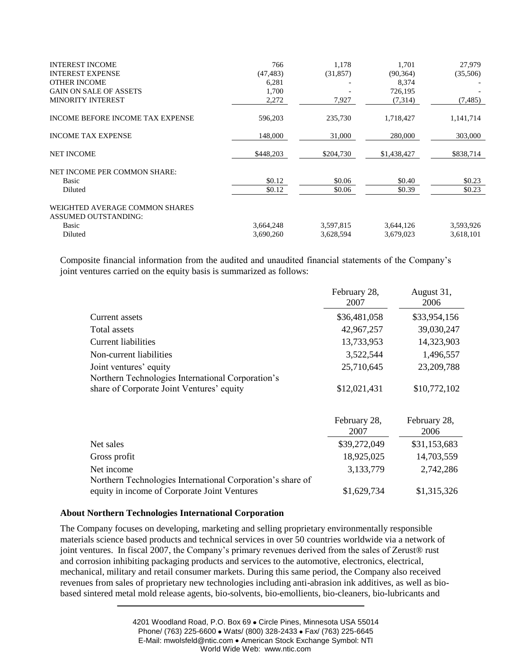| <b>INTEREST INCOME</b>                                        | 766       | 1,178     | 1,701       | 27,979    |
|---------------------------------------------------------------|-----------|-----------|-------------|-----------|
| <b>INTEREST EXPENSE</b>                                       | (47, 483) | (31,857)  | (90, 364)   | (35,506)  |
| <b>OTHER INCOME</b>                                           | 6,281     |           | 8,374       |           |
| <b>GAIN ON SALE OF ASSETS</b>                                 | 1,700     |           | 726,195     |           |
| <b>MINORITY INTEREST</b>                                      | 2,272     | 7,927     | (7,314)     | (7, 485)  |
| <b>INCOME BEFORE INCOME TAX EXPENSE</b>                       | 596,203   | 235,730   | 1,718,427   | 1,141,714 |
| <b>INCOME TAX EXPENSE</b>                                     | 148,000   | 31,000    | 280,000     | 303,000   |
| <b>NET INCOME</b>                                             | \$448,203 | \$204,730 | \$1,438,427 | \$838,714 |
| NET INCOME PER COMMON SHARE:                                  |           |           |             |           |
| Basic                                                         | \$0.12    | \$0.06    | \$0.40      | \$0.23    |
| Diluted                                                       | \$0.12    | \$0.06    | \$0.39      | \$0.23    |
| WEIGHTED AVERAGE COMMON SHARES<br><b>ASSUMED OUTSTANDING:</b> |           |           |             |           |
| Basic                                                         | 3,664,248 | 3,597,815 | 3,644,126   | 3,593,926 |
| Diluted                                                       | 3,690,260 | 3,628,594 | 3,679,023   | 3,618,101 |

Composite financial information from the audited and unaudited financial statements of the Company's joint ventures carried on the equity basis is summarized as follows:

|                                                                                                | February 28,<br>2007 | August 31,<br>2006   |
|------------------------------------------------------------------------------------------------|----------------------|----------------------|
| Current assets                                                                                 | \$36,481,058         | \$33,954,156         |
| Total assets                                                                                   | 42,967,257           | 39,030,247           |
| <b>Current liabilities</b>                                                                     | 13,733,953           | 14,323,903           |
| Non-current liabilities                                                                        | 3,522,544            | 1,496,557            |
| Joint ventures' equity                                                                         | 25,710,645           | 23,209,788           |
| Northern Technologies International Corporation's<br>share of Corporate Joint Ventures' equity | \$12,021,431         | \$10,772,102         |
|                                                                                                | February 28,<br>2007 | February 28,<br>2006 |
| Net sales                                                                                      | \$39,272,049         | \$31,153,683         |
| Gross profit                                                                                   | 18,925,025           | 14,703,559           |
| Net income                                                                                     | 3,133,779            | 2,742,286            |
| Northern Technologies International Corporation's share of                                     |                      |                      |
| equity in income of Corporate Joint Ventures                                                   | \$1,629,734          | \$1,315,326          |

## **About Northern Technologies International Corporation**

The Company focuses on developing, marketing and selling proprietary environmentally responsible materials science based products and technical services in over 50 countries worldwide via a network of joint ventures. In fiscal 2007, the Company's primary revenues derived from the sales of Zerust® rust and corrosion inhibiting packaging products and services to the automotive, electronics, electrical, mechanical, military and retail consumer markets. During this same period, the Company also received revenues from sales of proprietary new technologies including anti-abrasion ink additives, as well as biobased sintered metal mold release agents, bio-solvents, bio-emollients, bio-cleaners, bio-lubricants and